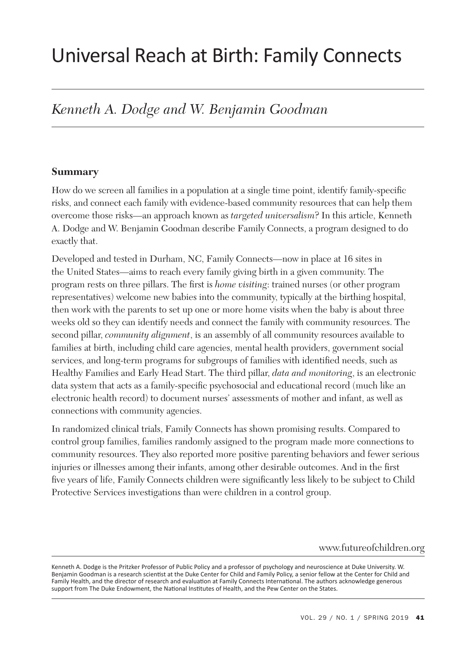# Universal Reach at Birth: Family Connects

## *Kenneth A. Dodge and W. Benjamin Goodman*

#### **Summary**

How do we screen all families in a population at a single time point, identify family-specific risks, and connect each family with evidence-based community resources that can help them overcome those risks—an approach known as *targeted universalism*? In this article, Kenneth A. Dodge and W. Benjamin Goodman describe Family Connects, a program designed to do exactly that.

Developed and tested in Durham, NC, Family Connects—now in place at 16 sites in the United States—aims to reach every family giving birth in a given community. The program rests on three pillars. The first is *home visiting*: trained nurses (or other program representatives) welcome new babies into the community, typically at the birthing hospital, then work with the parents to set up one or more home visits when the baby is about three weeks old so they can identify needs and connect the family with community resources. The second pillar, *community alignment*, is an assembly of all community resources available to families at birth, including child care agencies, mental health providers, government social services, and long-term programs for subgroups of families with identified needs, such as Healthy Families and Early Head Start. The third pillar, *data and monitoring*, is an electronic data system that acts as a family-specific psychosocial and educational record (much like an electronic health record) to document nurses' assessments of mother and infant, as well as connections with community agencies.

In randomized clinical trials, Family Connects has shown promising results. Compared to control group families, families randomly assigned to the program made more connections to community resources. They also reported more positive parenting behaviors and fewer serious injuries or illnesses among their infants, among other desirable outcomes. And in the first five years of life, Family Connects children were significantly less likely to be subject to Child Protective Services investigations than were children in a control group.

www.futureofchildren.org

Kenneth A. Dodge is the Pritzker Professor of Public Policy and a professor of psychology and neuroscience at Duke University. W. Benjamin Goodman is a research scientist at the Duke Center for Child and Family Policy, a senior fellow at the Center for Child and Family Health, and the director of research and evaluation at Family Connects International. The authors acknowledge generous support from The Duke Endowment, the National Institutes of Health, and the Pew Center on the States.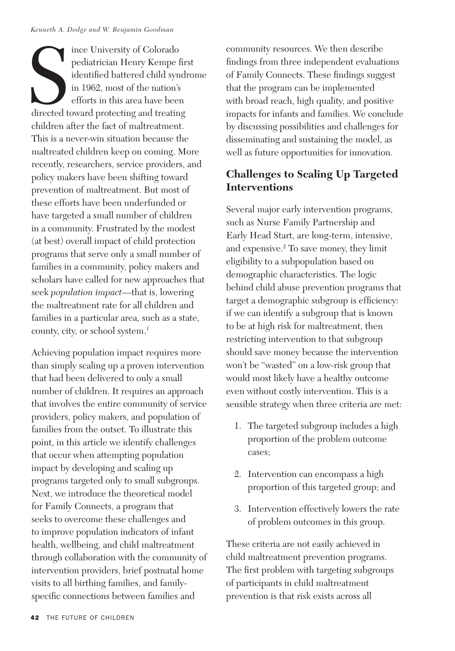The University of Colorado<br>
pediatrician Henry Kempe fir<br>
identified battered child synd<br>
in 1962, most of the nation's<br>
efforts in this area have been<br>
directed toward protecting and treating<br>
like ince University of Colorado pediatrician Henry Kempe first identified battered child syndrome in 1962, most of the nation's efforts in this area have been children after the fact of maltreatment. This is a never-win situation because the maltreated children keep on coming. More recently, researchers, service providers, and policy makers have been shifting toward prevention of maltreatment. But most of these efforts have been underfunded or have targeted a small number of children in a community. Frustrated by the modest (at best) overall impact of child protection programs that serve only a small number of families in a community, policy makers and scholars have called for new approaches that seek *population impact*—that is, lowering the maltreatment rate for all children and families in a particular area, such as a state, county, city, or school system.<sup>1</sup>

Achieving population impact requires more than simply scaling up a proven intervention that had been delivered to only a small number of children. It requires an approach that involves the entire community of service providers, policy makers, and population of families from the outset. To illustrate this point, in this article we identify challenges that occur when attempting population impact by developing and scaling up programs targeted only to small subgroups. Next, we introduce the theoretical model for Family Connects, a program that seeks to overcome these challenges and to improve population indicators of infant health, wellbeing, and child maltreatment through collaboration with the community of intervention providers, brief postnatal home visits to all birthing families, and familyspecific connections between families and

community resources. We then describe findings from three independent evaluations of Family Connects. These findings suggest that the program can be implemented with broad reach, high quality, and positive impacts for infants and families. We conclude by discussing possibilities and challenges for disseminating and sustaining the model, as well as future opportunities for innovation.

## **Challenges to Scaling Up Targeted Interventions**

Several major early intervention programs, such as Nurse Family Partnership and Early Head Start, are long-term, intensive, and expensive.2 To save money, they limit eligibility to a subpopulation based on demographic characteristics. The logic behind child abuse prevention programs that target a demographic subgroup is efficiency: if we can identify a subgroup that is known to be at high risk for maltreatment, then restricting intervention to that subgroup should save money because the intervention won't be "wasted" on a low-risk group that would most likely have a healthy outcome even without costly intervention. This is a sensible strategy when three criteria are met:

- 1. The targeted subgroup includes a high proportion of the problem outcome cases;
- 2. Intervention can encompass a high proportion of this targeted group; and
- 3. Intervention effectively lowers the rate of problem outcomes in this group.

These criteria are not easily achieved in child maltreatment prevention programs. The first problem with targeting subgroups of participants in child maltreatment prevention is that risk exists across all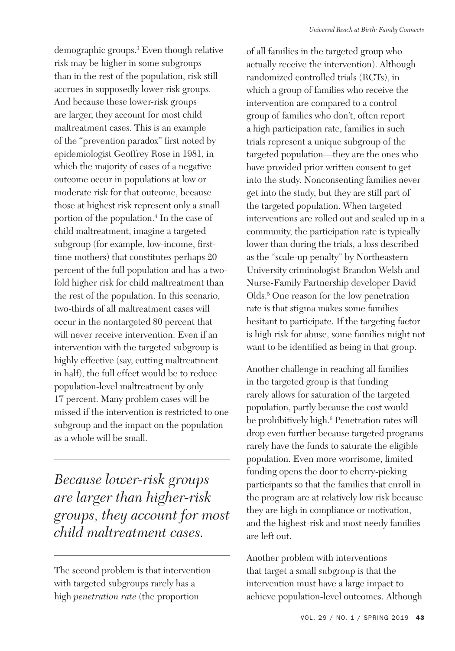demographic groups.3 Even though relative risk may be higher in some subgroups than in the rest of the population, risk still accrues in supposedly lower-risk groups. And because these lower-risk groups are larger, they account for most child maltreatment cases. This is an example of the "prevention paradox" first noted by epidemiologist Geoffrey Rose in 1981, in which the majority of cases of a negative outcome occur in populations at low or moderate risk for that outcome, because those at highest risk represent only a small portion of the population.4 In the case of child maltreatment, imagine a targeted subgroup (for example, low-income, firsttime mothers) that constitutes perhaps 20 percent of the full population and has a twofold higher risk for child maltreatment than the rest of the population. In this scenario, two-thirds of all maltreatment cases will occur in the nontargeted 80 percent that will never receive intervention. Even if an intervention with the targeted subgroup is highly effective (say, cutting maltreatment in half), the full effect would be to reduce population-level maltreatment by only 17 percent. Many problem cases will be missed if the intervention is restricted to one subgroup and the impact on the population as a whole will be small.

*Because lower-risk groups are larger than higher-risk groups, they account for most child maltreatment cases.*

The second problem is that intervention with targeted subgroups rarely has a high *penetration rate* (the proportion

of all families in the targeted group who actually receive the intervention). Although randomized controlled trials (RCTs), in which a group of families who receive the intervention are compared to a control group of families who don't, often report a high participation rate, families in such trials represent a unique subgroup of the targeted population—they are the ones who have provided prior written consent to get into the study. Nonconsenting families never get into the study, but they are still part of the targeted population. When targeted interventions are rolled out and scaled up in a community, the participation rate is typically lower than during the trials, a loss described as the "scale-up penalty" by Northeastern University criminologist Brandon Welsh and Nurse-Family Partnership developer David Olds.5 One reason for the low penetration rate is that stigma makes some families hesitant to participate. If the targeting factor is high risk for abuse, some families might not want to be identified as being in that group.

Another challenge in reaching all families in the targeted group is that funding rarely allows for saturation of the targeted population, partly because the cost would be prohibitively high.<sup>6</sup> Penetration rates will drop even further because targeted programs rarely have the funds to saturate the eligible population. Even more worrisome, limited funding opens the door to cherry-picking participants so that the families that enroll in the program are at relatively low risk because they are high in compliance or motivation, and the highest-risk and most needy families are left out.

Another problem with interventions that target a small subgroup is that the intervention must have a large impact to achieve population-level outcomes. Although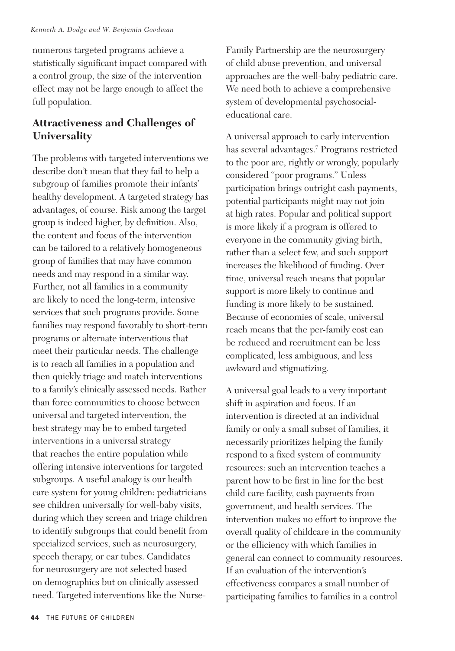numerous targeted programs achieve a statistically significant impact compared with a control group, the size of the intervention effect may not be large enough to affect the full population.

## **Attractiveness and Challenges of Universality**

The problems with targeted interventions we describe don't mean that they fail to help a subgroup of families promote their infants' healthy development. A targeted strategy has advantages, of course. Risk among the target group is indeed higher, by definition. Also, the content and focus of the intervention can be tailored to a relatively homogeneous group of families that may have common needs and may respond in a similar way. Further, not all families in a community are likely to need the long-term, intensive services that such programs provide. Some families may respond favorably to short-term programs or alternate interventions that meet their particular needs. The challenge is to reach all families in a population and then quickly triage and match interventions to a family's clinically assessed needs. Rather than force communities to choose between universal and targeted intervention, the best strategy may be to embed targeted interventions in a universal strategy that reaches the entire population while offering intensive interventions for targeted subgroups. A useful analogy is our health care system for young children: pediatricians see children universally for well-baby visits, during which they screen and triage children to identify subgroups that could benefit from specialized services, such as neurosurgery, speech therapy, or ear tubes. Candidates for neurosurgery are not selected based on demographics but on clinically assessed need. Targeted interventions like the Nurse-

Family Partnership are the neurosurgery of child abuse prevention, and universal approaches are the well-baby pediatric care. We need both to achieve a comprehensive system of developmental psychosocialeducational care.

A universal approach to early intervention has several advantages.7 Programs restricted to the poor are, rightly or wrongly, popularly considered "poor programs." Unless participation brings outright cash payments, potential participants might may not join at high rates. Popular and political support is more likely if a program is offered to everyone in the community giving birth, rather than a select few, and such support increases the likelihood of funding. Over time, universal reach means that popular support is more likely to continue and funding is more likely to be sustained. Because of economies of scale, universal reach means that the per-family cost can be reduced and recruitment can be less complicated, less ambiguous, and less awkward and stigmatizing.

A universal goal leads to a very important shift in aspiration and focus. If an intervention is directed at an individual family or only a small subset of families, it necessarily prioritizes helping the family respond to a fixed system of community resources: such an intervention teaches a parent how to be first in line for the best child care facility, cash payments from government, and health services. The intervention makes no effort to improve the overall quality of childcare in the community or the efficiency with which families in general can connect to community resources. If an evaluation of the intervention's effectiveness compares a small number of participating families to families in a control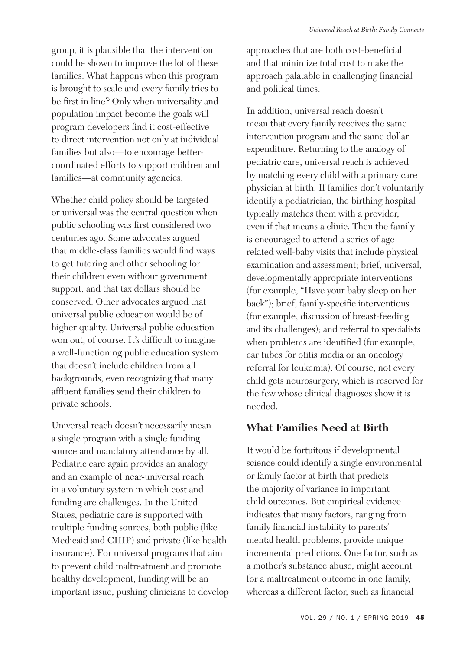group, it is plausible that the intervention could be shown to improve the lot of these families. What happens when this program is brought to scale and every family tries to be first in line? Only when universality and population impact become the goals will program developers find it cost-effective to direct intervention not only at individual families but also—to encourage bettercoordinated efforts to support children and families—at community agencies.

Whether child policy should be targeted or universal was the central question when public schooling was first considered two centuries ago. Some advocates argued that middle-class families would find ways to get tutoring and other schooling for their children even without government support, and that tax dollars should be conserved. Other advocates argued that universal public education would be of higher quality. Universal public education won out, of course. It's difficult to imagine a well-functioning public education system that doesn't include children from all backgrounds, even recognizing that many affluent families send their children to private schools.

Universal reach doesn't necessarily mean a single program with a single funding source and mandatory attendance by all. Pediatric care again provides an analogy and an example of near-universal reach in a voluntary system in which cost and funding are challenges. In the United States, pediatric care is supported with multiple funding sources, both public (like Medicaid and CHIP) and private (like health insurance). For universal programs that aim to prevent child maltreatment and promote healthy development, funding will be an important issue, pushing clinicians to develop approaches that are both cost-beneficial and that minimize total cost to make the approach palatable in challenging financial and political times.

In addition, universal reach doesn't mean that every family receives the same intervention program and the same dollar expenditure. Returning to the analogy of pediatric care, universal reach is achieved by matching every child with a primary care physician at birth. If families don't voluntarily identify a pediatrician, the birthing hospital typically matches them with a provider, even if that means a clinic. Then the family is encouraged to attend a series of agerelated well-baby visits that include physical examination and assessment; brief, universal, developmentally appropriate interventions (for example, "Have your baby sleep on her back"); brief, family-specific interventions (for example, discussion of breast-feeding and its challenges); and referral to specialists when problems are identified (for example, ear tubes for otitis media or an oncology referral for leukemia). Of course, not every child gets neurosurgery, which is reserved for the few whose clinical diagnoses show it is needed.

## **What Families Need at Birth**

It would be fortuitous if developmental science could identify a single environmental or family factor at birth that predicts the majority of variance in important child outcomes. But empirical evidence indicates that many factors, ranging from family financial instability to parents' mental health problems, provide unique incremental predictions. One factor, such as a mother's substance abuse, might account for a maltreatment outcome in one family, whereas a different factor, such as financial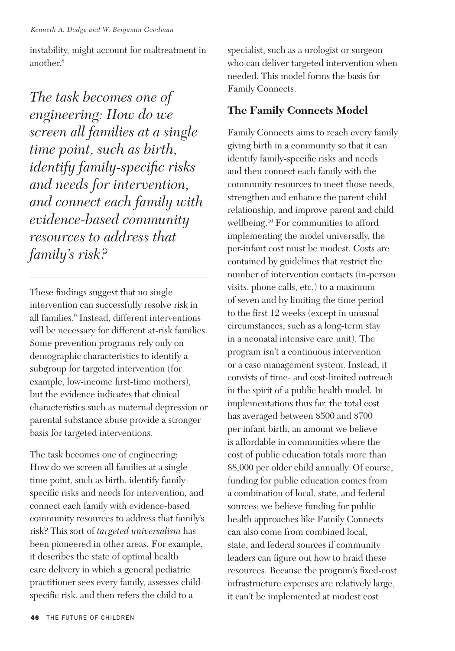instability, might account for maltreatment in another.8

*The task becomes one of engineering: How do we screen all families at a single time point, such as birth, identify family-specific risks and needs for intervention, and connect each family with evidence-based community resources to address that family's risk?*

These findings suggest that no single intervention can successfully resolve risk in all families.9 Instead, different interventions will be necessary for different at-risk families. Some prevention programs rely only on demographic characteristics to identify a subgroup for targeted intervention (for example, low-income first-time mothers), but the evidence indicates that clinical characteristics such as maternal depression or parental substance abuse provide a stronger basis for targeted interventions.

The task becomes one of engineering: How do we screen all families at a single time point, such as birth, identify familyspecific risks and needs for intervention, and connect each family with evidence-based community resources to address that family's risk? This sort of *targeted universalism* has been pioneered in other areas. For example, it describes the state of optimal health care delivery in which a general pediatric practitioner sees every family, assesses childspecific risk, and then refers the child to a

specialist, such as a urologist or surgeon who can deliver targeted intervention when needed. This model forms the basis for Family Connects.

## **The Family Connects Model**

Family Connects aims to reach every family giving birth in a community so that it can identify family-specific risks and needs and then connect each family with the community resources to meet those needs, strengthen and enhance the parent-child relationship, and improve parent and child wellbeing.10 For communities to afford implementing the model universally, the per-infant cost must be modest. Costs are contained by guidelines that restrict the number of intervention contacts (in-person visits, phone calls, etc.) to a maximum of seven and by limiting the time period to the first 12 weeks (except in unusual circumstances, such as a long-term stay in a neonatal intensive care unit). The program isn't a continuous intervention or a case management system. Instead, it consists of time- and cost-limited outreach in the spirit of a public health model. In implementations thus far, the total cost has averaged between \$500 and \$700 per infant birth, an amount we believe is affordable in communities where the cost of public education totals more than \$8,000 per older child annually. Of course, funding for public education comes from a combination of local, state, and federal sources; we believe funding for public health approaches like Family Connects can also come from combined local, state, and federal sources if community leaders can figure out how to braid these resources. Because the program's fixed-cost infrastructure expenses are relatively large, it can't be implemented at modest cost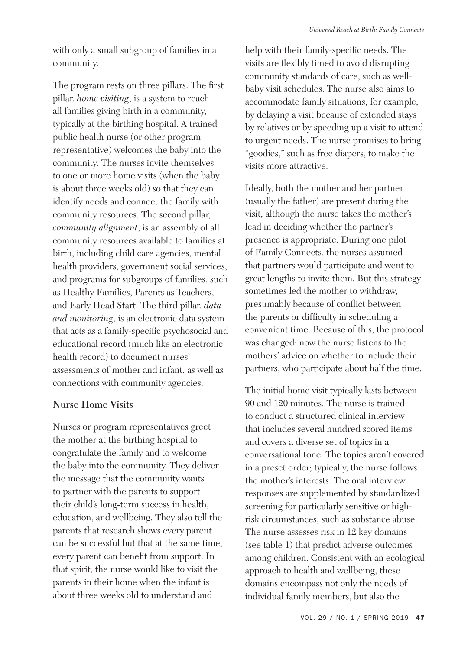with only a small subgroup of families in a community.

The program rests on three pillars. The first pillar, *home visiting*, is a system to reach all families giving birth in a community, typically at the birthing hospital. A trained public health nurse (or other program representative) welcomes the baby into the community. The nurses invite themselves to one or more home visits (when the baby is about three weeks old) so that they can identify needs and connect the family with community resources. The second pillar, *community alignment*, is an assembly of all community resources available to families at birth, including child care agencies, mental health providers, government social services, and programs for subgroups of families, such as Healthy Families, Parents as Teachers, and Early Head Start. The third pillar, *data and monitoring*, is an electronic data system that acts as a family-specific psychosocial and educational record (much like an electronic health record) to document nurses' assessments of mother and infant, as well as connections with community agencies.

#### **Nurse Home Visits**

Nurses or program representatives greet the mother at the birthing hospital to congratulate the family and to welcome the baby into the community. They deliver the message that the community wants to partner with the parents to support their child's long-term success in health, education, and wellbeing. They also tell the parents that research shows every parent can be successful but that at the same time, every parent can benefit from support. In that spirit, the nurse would like to visit the parents in their home when the infant is about three weeks old to understand and

help with their family-specific needs. The visits are flexibly timed to avoid disrupting community standards of care, such as wellbaby visit schedules. The nurse also aims to accommodate family situations, for example, by delaying a visit because of extended stays by relatives or by speeding up a visit to attend to urgent needs. The nurse promises to bring "goodies," such as free diapers, to make the visits more attractive.

Ideally, both the mother and her partner (usually the father) are present during the visit, although the nurse takes the mother's lead in deciding whether the partner's presence is appropriate. During one pilot of Family Connects, the nurses assumed that partners would participate and went to great lengths to invite them. But this strategy sometimes led the mother to withdraw, presumably because of conflict between the parents or difficulty in scheduling a convenient time. Because of this, the protocol was changed: now the nurse listens to the mothers' advice on whether to include their partners, who participate about half the time.

The initial home visit typically lasts between 90 and 120 minutes. The nurse is trained to conduct a structured clinical interview that includes several hundred scored items and covers a diverse set of topics in a conversational tone. The topics aren't covered in a preset order; typically, the nurse follows the mother's interests. The oral interview responses are supplemented by standardized screening for particularly sensitive or highrisk circumstances, such as substance abuse. The nurse assesses risk in 12 key domains (see table 1) that predict adverse outcomes among children. Consistent with an ecological approach to health and wellbeing, these domains encompass not only the needs of individual family members, but also the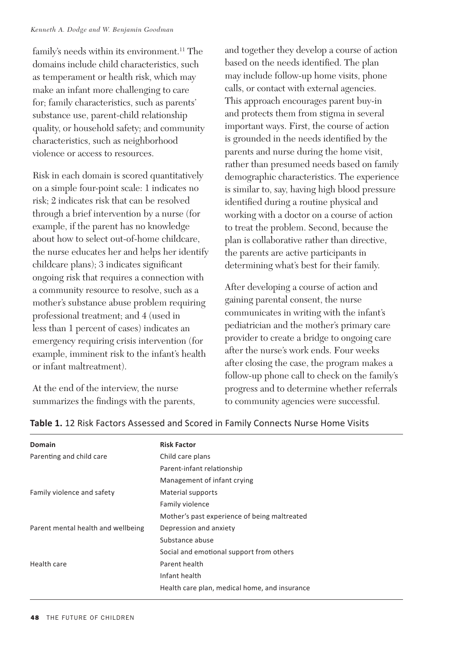family's needs within its environment.<sup>11</sup> The domains include child characteristics, such as temperament or health risk, which may make an infant more challenging to care for; family characteristics, such as parents' substance use, parent-child relationship quality, or household safety; and community characteristics, such as neighborhood violence or access to resources.

Risk in each domain is scored quantitatively on a simple four-point scale: 1 indicates no risk; 2 indicates risk that can be resolved through a brief intervention by a nurse (for example, if the parent has no knowledge about how to select out-of-home childcare, the nurse educates her and helps her identify childcare plans); 3 indicates significant ongoing risk that requires a connection with a community resource to resolve, such as a mother's substance abuse problem requiring professional treatment; and 4 (used in less than 1 percent of cases) indicates an emergency requiring crisis intervention (for example, imminent risk to the infant's health or infant maltreatment).

At the end of the interview, the nurse summarizes the findings with the parents, and together they develop a course of action based on the needs identified. The plan may include follow-up home visits, phone calls, or contact with external agencies. This approach encourages parent buy-in and protects them from stigma in several important ways. First, the course of action is grounded in the needs identified by the parents and nurse during the home visit, rather than presumed needs based on family demographic characteristics. The experience is similar to, say, having high blood pressure identified during a routine physical and working with a doctor on a course of action to treat the problem. Second, because the plan is collaborative rather than directive, the parents are active participants in determining what's best for their family.

After developing a course of action and gaining parental consent, the nurse communicates in writing with the infant's pediatrician and the mother's primary care provider to create a bridge to ongoing care after the nurse's work ends. Four weeks after closing the case, the program makes a follow-up phone call to check on the family's progress and to determine whether referrals to community agencies were successful.

| <b>Domain</b>                      | <b>Risk Factor</b>                            |
|------------------------------------|-----------------------------------------------|
| Parenting and child care           | Child care plans                              |
|                                    | Parent-infant relationship                    |
|                                    | Management of infant crying                   |
| Family violence and safety         | Material supports                             |
|                                    | Family violence                               |
|                                    | Mother's past experience of being maltreated  |
| Parent mental health and wellbeing | Depression and anxiety                        |
|                                    | Substance abuse                               |
|                                    | Social and emotional support from others      |
| Health care                        | Parent health                                 |
|                                    | Infant health                                 |
|                                    | Health care plan, medical home, and insurance |
|                                    |                                               |

#### **Table 1.** 12 Risk Factors Assessed and Scored in Family Connects Nurse Home Visits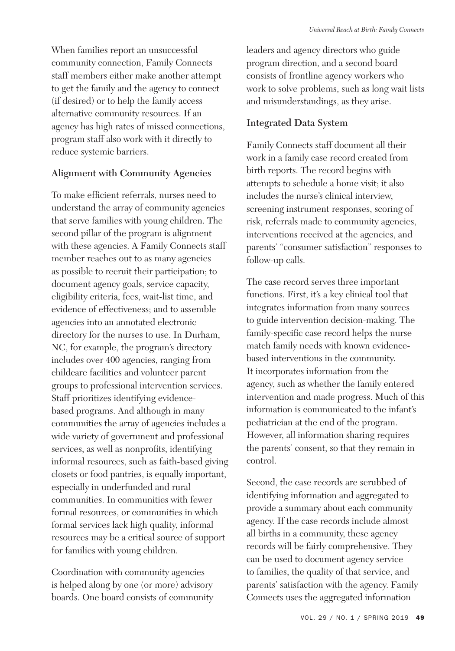When families report an unsuccessful community connection, Family Connects staff members either make another attempt to get the family and the agency to connect (if desired) or to help the family access alternative community resources. If an agency has high rates of missed connections, program staff also work with it directly to reduce systemic barriers.

#### **Alignment with Community Agencies**

To make efficient referrals, nurses need to understand the array of community agencies that serve families with young children. The second pillar of the program is alignment with these agencies. A Family Connects staff member reaches out to as many agencies as possible to recruit their participation; to document agency goals, service capacity, eligibility criteria, fees, wait-list time, and evidence of effectiveness; and to assemble agencies into an annotated electronic directory for the nurses to use. In Durham, NC, for example, the program's directory includes over 400 agencies, ranging from childcare facilities and volunteer parent groups to professional intervention services. Staff prioritizes identifying evidencebased programs. And although in many communities the array of agencies includes a wide variety of government and professional services, as well as nonprofits, identifying informal resources, such as faith-based giving closets or food pantries, is equally important, especially in underfunded and rural communities. In communities with fewer formal resources, or communities in which formal services lack high quality, informal resources may be a critical source of support for families with young children.

Coordination with community agencies is helped along by one (or more) advisory boards. One board consists of community leaders and agency directors who guide program direction, and a second board consists of frontline agency workers who work to solve problems, such as long wait lists and misunderstandings, as they arise.

#### **Integrated Data System**

Family Connects staff document all their work in a family case record created from birth reports. The record begins with attempts to schedule a home visit; it also includes the nurse's clinical interview, screening instrument responses, scoring of risk, referrals made to community agencies, interventions received at the agencies, and parents' "consumer satisfaction" responses to follow-up calls.

The case record serves three important functions. First, it's a key clinical tool that integrates information from many sources to guide intervention decision-making. The family-specific case record helps the nurse match family needs with known evidencebased interventions in the community. It incorporates information from the agency, such as whether the family entered intervention and made progress. Much of this information is communicated to the infant's pediatrician at the end of the program. However, all information sharing requires the parents' consent, so that they remain in control.

Second, the case records are scrubbed of identifying information and aggregated to provide a summary about each community agency. If the case records include almost all births in a community, these agency records will be fairly comprehensive. They can be used to document agency service to families, the quality of that service, and parents' satisfaction with the agency. Family Connects uses the aggregated information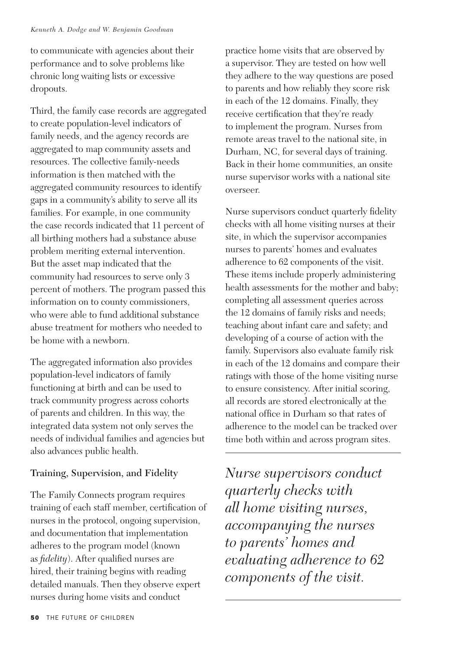to communicate with agencies about their performance and to solve problems like chronic long waiting lists or excessive dropouts.

Third, the family case records are aggregated to create population-level indicators of family needs, and the agency records are aggregated to map community assets and resources. The collective family-needs information is then matched with the aggregated community resources to identify gaps in a community's ability to serve all its families. For example, in one community the case records indicated that 11 percent of all birthing mothers had a substance abuse problem meriting external intervention. But the asset map indicated that the community had resources to serve only 3 percent of mothers. The program passed this information on to county commissioners, who were able to fund additional substance abuse treatment for mothers who needed to be home with a newborn.

The aggregated information also provides population-level indicators of family functioning at birth and can be used to track community progress across cohorts of parents and children. In this way, the integrated data system not only serves the needs of individual families and agencies but also advances public health.

## **Training, Supervision, and Fidelity**

The Family Connects program requires training of each staff member, certification of nurses in the protocol, ongoing supervision, and documentation that implementation adheres to the program model (known as *fidelity*). After qualified nurses are hired, their training begins with reading detailed manuals. Then they observe expert nurses during home visits and conduct

practice home visits that are observed by a supervisor. They are tested on how well they adhere to the way questions are posed to parents and how reliably they score risk in each of the 12 domains. Finally, they receive certification that they're ready to implement the program. Nurses from remote areas travel to the national site, in Durham, NC, for several days of training. Back in their home communities, an onsite nurse supervisor works with a national site overseer.

Nurse supervisors conduct quarterly fidelity checks with all home visiting nurses at their site, in which the supervisor accompanies nurses to parents' homes and evaluates adherence to 62 components of the visit. These items include properly administering health assessments for the mother and baby; completing all assessment queries across the 12 domains of family risks and needs; teaching about infant care and safety; and developing of a course of action with the family. Supervisors also evaluate family risk in each of the 12 domains and compare their ratings with those of the home visiting nurse to ensure consistency. After initial scoring, all records are stored electronically at the national office in Durham so that rates of adherence to the model can be tracked over time both within and across program sites.

*Nurse supervisors conduct quarterly checks with all home visiting nurses, accompanying the nurses to parents' homes and evaluating adherence to 62 components of the visit.*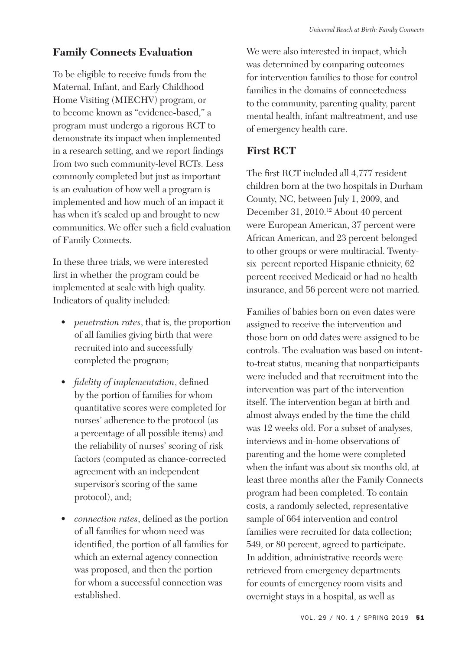## **Family Connects Evaluation**

To be eligible to receive funds from the Maternal, Infant, and Early Childhood Home Visiting (MIECHV) program, or to become known as "evidence-based," a program must undergo a rigorous RCT to demonstrate its impact when implemented in a research setting, and we report findings from two such community-level RCTs. Less commonly completed but just as important is an evaluation of how well a program is implemented and how much of an impact it has when it's scaled up and brought to new communities. We offer such a field evaluation of Family Connects.

In these three trials, we were interested first in whether the program could be implemented at scale with high quality. Indicators of quality included:

- *penetration rates*, that is, the proportion of all families giving birth that were recruited into and successfully completed the program;
- *fidelity of implementation*, defined by the portion of families for whom quantitative scores were completed for nurses' adherence to the protocol (as a percentage of all possible items) and the reliability of nurses' scoring of risk factors (computed as chance-corrected agreement with an independent supervisor's scoring of the same protocol), and;
- *connection rates*, defined as the portion of all families for whom need was identified, the portion of all families for which an external agency connection was proposed, and then the portion for whom a successful connection was established.

We were also interested in impact, which was determined by comparing outcomes for intervention families to those for control families in the domains of connectedness to the community, parenting quality, parent mental health, infant maltreatment, and use of emergency health care.

## **First RCT**

The first RCT included all 4,777 resident children born at the two hospitals in Durham County, NC, between July 1, 2009, and December 31, 2010.<sup>12</sup> About 40 percent were European American, 37 percent were African American, and 23 percent belonged to other groups or were multiracial. Twentysix percent reported Hispanic ethnicity, 62 percent received Medicaid or had no health insurance, and 56 percent were not married.

Families of babies born on even dates were assigned to receive the intervention and those born on odd dates were assigned to be controls. The evaluation was based on intentto-treat status, meaning that nonparticipants were included and that recruitment into the intervention was part of the intervention itself. The intervention began at birth and almost always ended by the time the child was 12 weeks old. For a subset of analyses, interviews and in-home observations of parenting and the home were completed when the infant was about six months old, at least three months after the Family Connects program had been completed. To contain costs, a randomly selected, representative sample of 664 intervention and control families were recruited for data collection; 549, or 80 percent, agreed to participate. In addition, administrative records were retrieved from emergency departments for counts of emergency room visits and overnight stays in a hospital, as well as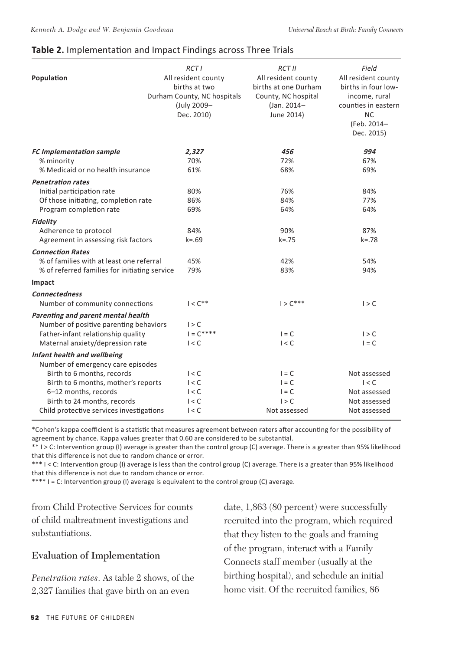#### **Table 2.** Implementation and Impact Findings across Three Trials

| Population                                    | <b>RCTI</b><br>All resident county<br>births at two<br>Durham County, NC hospitals<br>(July 2009-<br>Dec. 2010) | <b>RCT II</b><br>All resident county<br>births at one Durham<br>County, NC hospital<br>(Jan. 2014-<br>June 2014) | Field<br>All resident county<br>births in four low-<br>income, rural<br>counties in eastern<br><b>NC</b><br>(Feb. 2014-<br>Dec. 2015) |
|-----------------------------------------------|-----------------------------------------------------------------------------------------------------------------|------------------------------------------------------------------------------------------------------------------|---------------------------------------------------------------------------------------------------------------------------------------|
| <b>FC Implementation sample</b>               | 2,327                                                                                                           | 456                                                                                                              | 994                                                                                                                                   |
| % minority                                    | 70%                                                                                                             | 72%                                                                                                              | 67%                                                                                                                                   |
| % Medicaid or no health insurance             | 61%                                                                                                             | 68%                                                                                                              | 69%                                                                                                                                   |
| <b>Penetration rates</b>                      |                                                                                                                 |                                                                                                                  |                                                                                                                                       |
| Initial participation rate                    | 80%                                                                                                             | 76%                                                                                                              | 84%                                                                                                                                   |
| Of those initiating, completion rate          | 86%                                                                                                             | 84%                                                                                                              | 77%                                                                                                                                   |
| Program completion rate                       | 69%                                                                                                             | 64%                                                                                                              | 64%                                                                                                                                   |
| <b>Fidelity</b>                               |                                                                                                                 |                                                                                                                  |                                                                                                                                       |
| Adherence to protocol                         | 84%                                                                                                             | 90%                                                                                                              | 87%                                                                                                                                   |
| Agreement in assessing risk factors           | k=.69                                                                                                           | $k = 0.75$                                                                                                       | $k = 78$                                                                                                                              |
| <b>Connection Rates</b>                       |                                                                                                                 |                                                                                                                  |                                                                                                                                       |
| % of families with at least one referral      | 45%                                                                                                             | 42%                                                                                                              | 54%                                                                                                                                   |
| % of referred families for initiating service | 79%                                                                                                             | 83%                                                                                                              | 94%                                                                                                                                   |
| Impact                                        |                                                                                                                 |                                                                                                                  |                                                                                                                                       |
| <b>Connectedness</b>                          |                                                                                                                 |                                                                                                                  |                                                                                                                                       |
| Number of community connections               | $1 < C$ **                                                                                                      | $1 > C***$                                                                                                       | 1 > C                                                                                                                                 |
| Parenting and parent mental health            |                                                                                                                 |                                                                                                                  |                                                                                                                                       |
| Number of positive parenting behaviors        | 1 > C                                                                                                           |                                                                                                                  |                                                                                                                                       |
| Father-infant relationship quality            | $I = C***$                                                                                                      | $I = C$                                                                                                          | 1 > C                                                                                                                                 |
| Maternal anxiety/depression rate              | 1 < C                                                                                                           | 1 < C                                                                                                            | $I = C$                                                                                                                               |
| Infant health and wellbeing                   |                                                                                                                 |                                                                                                                  |                                                                                                                                       |
| Number of emergency care episodes             |                                                                                                                 |                                                                                                                  |                                                                                                                                       |
| Birth to 6 months, records                    | 1 < C                                                                                                           | $I = C$                                                                                                          | Not assessed                                                                                                                          |
| Birth to 6 months, mother's reports           | 1 < C                                                                                                           | $I = C$                                                                                                          | 1 < C                                                                                                                                 |
| 6-12 months, records                          | 1 < C                                                                                                           | $I = C$                                                                                                          | Not assessed                                                                                                                          |
| Birth to 24 months, records                   | 1 < C                                                                                                           | 1 > C                                                                                                            | Not assessed                                                                                                                          |
| Child protective services investigations      | 1 < C                                                                                                           | Not assessed                                                                                                     | Not assessed                                                                                                                          |
|                                               |                                                                                                                 |                                                                                                                  |                                                                                                                                       |

\*Cohen's kappa coefficient is a statistic that measures agreement between raters after accounting for the possibility of agreement by chance. Kappa values greater that 0.60 are considered to be substantial.

\*\* I > C: Intervention group (I) average is greater than the control group (C) average. There is a greater than 95% likelihood that this difference is not due to random chance or error.

\*\*\* I < C: Intervention group (I) average is less than the control group (C) average. There is a greater than 95% likelihood that this difference is not due to random chance or error.

\*\*\*\* I = C: Intervention group (I) average is equivalent to the control group (C) average.

from Child Protective Services for counts of child maltreatment investigations and substantiations.

#### **Evaluation of Implementation**

*Penetration rates*. As table 2 shows, of the 2,327 families that gave birth on an even

date, 1,863 (80 percent) were successfully recruited into the program, which required that they listen to the goals and framing of the program, interact with a Family Connects staff member (usually at the birthing hospital), and schedule an initial home visit. Of the recruited families, 86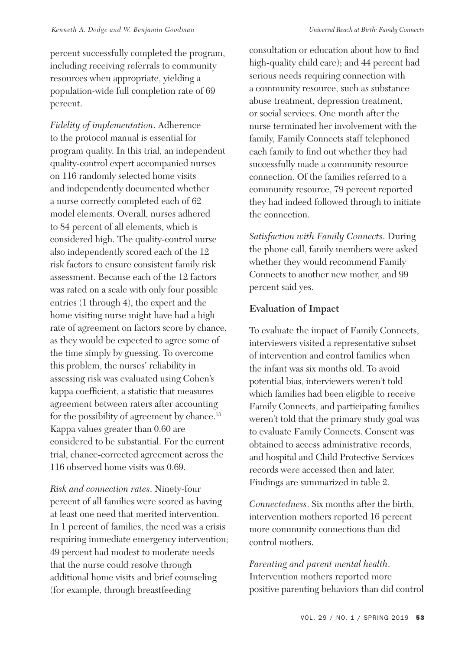percent successfully completed the program, including receiving referrals to community resources when appropriate, yielding a population-wide full completion rate of 69 percent.

*Fidelity of implementation*. Adherence to the protocol manual is essential for program quality. In this trial, an independent quality-control expert accompanied nurses on 116 randomly selected home visits and independently documented whether a nurse correctly completed each of 62 model elements. Overall, nurses adhered to 84 percent of all elements, which is considered high. The quality-control nurse also independently scored each of the 12 risk factors to ensure consistent family risk assessment. Because each of the 12 factors was rated on a scale with only four possible entries (1 through 4), the expert and the home visiting nurse might have had a high rate of agreement on factors score by chance, as they would be expected to agree some of the time simply by guessing. To overcome this problem, the nurses' reliability in assessing risk was evaluated using Cohen's kappa coefficient, a statistic that measures agreement between raters after accounting for the possibility of agreement by chance.<sup>13</sup> Kappa values greater than 0.60 are considered to be substantial. For the current trial, chance-corrected agreement across the 116 observed home visits was 0.69.

*Risk and connection rates*. Ninety-four percent of all families were scored as having at least one need that merited intervention. In 1 percent of families, the need was a crisis requiring immediate emergency intervention; 49 percent had modest to moderate needs that the nurse could resolve through additional home visits and brief counseling (for example, through breastfeeding

consultation or education about how to find high-quality child care); and 44 percent had serious needs requiring connection with a community resource, such as substance abuse treatment, depression treatment, or social services. One month after the nurse terminated her involvement with the family, Family Connects staff telephoned each family to find out whether they had successfully made a community resource connection. Of the families referred to a community resource, 79 percent reported they had indeed followed through to initiate the connection.

*Universal Reach at Birth: Family Connects*

*Satisfaction with Family Connect*s. During the phone call, family members were asked whether they would recommend Family Connects to another new mother, and 99 percent said yes.

## **Evaluation of Impact**

To evaluate the impact of Family Connects, interviewers visited a representative subset of intervention and control families when the infant was six months old. To avoid potential bias, interviewers weren't told which families had been eligible to receive Family Connects, and participating families weren't told that the primary study goal was to evaluate Family Connects. Consent was obtained to access administrative records, and hospital and Child Protective Services records were accessed then and later. Findings are summarized in table 2.

*Connectedness*. Six months after the birth, intervention mothers reported 16 percent more community connections than did control mothers.

*Parenting and parent mental health*. Intervention mothers reported more positive parenting behaviors than did control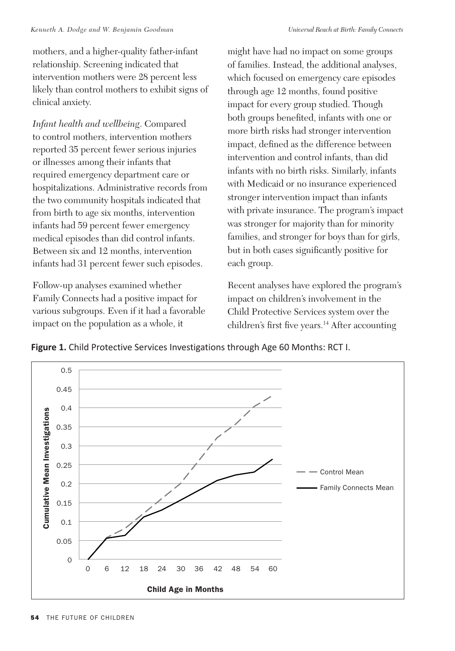mothers, and a higher-quality father-infant relationship. Screening indicated that intervention mothers were 28 percent less likely than control mothers to exhibit signs of clinical anxiety.

*Infant health and wellbeing*. Compared to control mothers, intervention mothers reported 35 percent fewer serious injuries or illnesses among their infants that required emergency department care or hospitalizations. Administrative records from the two community hospitals indicated that from birth to age six months, intervention infants had 59 percent fewer emergency medical episodes than did control infants. Between six and 12 months, intervention infants had 31 percent fewer such episodes.

Follow-up analyses examined whether Family Connects had a positive impact for various subgroups. Even if it had a favorable impact on the population as a whole, it

might have had no impact on some groups of families. Instead, the additional analyses, which focused on emergency care episodes through age 12 months, found positive impact for every group studied. Though both groups benefited, infants with one or more birth risks had stronger intervention impact, defined as the difference between intervention and control infants, than did infants with no birth risks. Similarly, infants with Medicaid or no insurance experienced stronger intervention impact than infants with private insurance. The program's impact was stronger for majority than for minority families, and stronger for boys than for girls, but in both cases significantly positive for each group.

Recent analyses have explored the program's impact on children's involvement in the Child Protective Services system over the children's first five years.<sup>14</sup> After accounting

**Figure 1. Figure 2** Child Protective Services Investigations through Age 60 Months: RCT I. **.** Child Protective Services Investigations through Age 60 Months: RCT I.

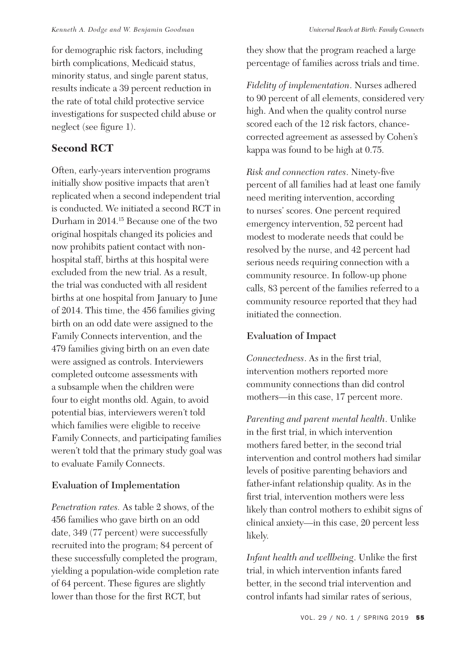for demographic risk factors, including birth complications, Medicaid status, minority status, and single parent status, results indicate a 39 percent reduction in the rate of total child protective service investigations for suspected child abuse or neglect (see figure 1).

## **Second RCT**

Often, early-years intervention programs initially show positive impacts that aren't replicated when a second independent trial is conducted. We initiated a second RCT in Durham in 2014.15 Because one of the two original hospitals changed its policies and now prohibits patient contact with nonhospital staff, births at this hospital were excluded from the new trial. As a result, the trial was conducted with all resident births at one hospital from January to June of 2014. This time, the 456 families giving birth on an odd date were assigned to the Family Connects intervention, and the 479 families giving birth on an even date were assigned as controls. Interviewers completed outcome assessments with a subsample when the children were four to eight months old. Again, to avoid potential bias, interviewers weren't told which families were eligible to receive Family Connects, and participating families weren't told that the primary study goal was to evaluate Family Connects.

## **Evaluation of Implementation**

*Penetration rates.* As table 2 shows, of the 456 families who gave birth on an odd date, 349 (77 percent) were successfully recruited into the program; 84 percent of these successfully completed the program, yielding a population-wide completion rate of 64 percent. These figures are slightly lower than those for the first RCT, but

they show that the program reached a large percentage of families across trials and time.

*Fidelity of implementation*. Nurses adhered to 90 percent of all elements, considered very high. And when the quality control nurse scored each of the 12 risk factors, chancecorrected agreement as assessed by Cohen's kappa was found to be high at 0.75.

*Risk and connection rates*. Ninety-five percent of all families had at least one family need meriting intervention, according to nurses' scores. One percent required emergency intervention, 52 percent had modest to moderate needs that could be resolved by the nurse, and 42 percent had serious needs requiring connection with a community resource. In follow-up phone calls, 83 percent of the families referred to a community resource reported that they had initiated the connection.

## **Evaluation of Impact**

*Connectedness*. As in the first trial, intervention mothers reported more community connections than did control mothers—in this case, 17 percent more.

*Parenting and parent mental health*. Unlike in the first trial, in which intervention mothers fared better, in the second trial intervention and control mothers had similar levels of positive parenting behaviors and father-infant relationship quality. As in the first trial, intervention mothers were less likely than control mothers to exhibit signs of clinical anxiety—in this case, 20 percent less likely.

*Infant health and wellbeing*. Unlike the first trial, in which intervention infants fared better, in the second trial intervention and control infants had similar rates of serious,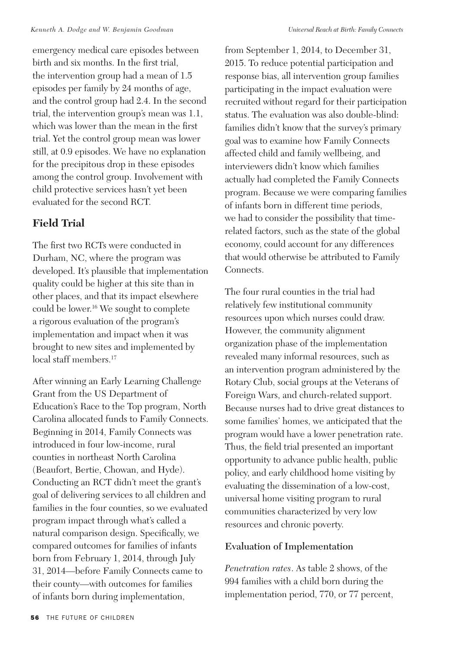emergency medical care episodes between birth and six months. In the first trial, the intervention group had a mean of 1.5 episodes per family by 24 months of age, and the control group had 2.4. In the second trial, the intervention group's mean was 1.1, which was lower than the mean in the first trial. Yet the control group mean was lower still, at 0.9 episodes. We have no explanation for the precipitous drop in these episodes among the control group. Involvement with child protective services hasn't yet been evaluated for the second RCT.

## **Field Trial**

The first two RCTs were conducted in Durham, NC, where the program was developed. It's plausible that implementation quality could be higher at this site than in other places, and that its impact elsewhere could be lower.16 We sought to complete a rigorous evaluation of the program's implementation and impact when it was brought to new sites and implemented by local staff members.17

After winning an Early Learning Challenge Grant from the US Department of Education's Race to the Top program, North Carolina allocated funds to Family Connects. Beginning in 2014, Family Connects was introduced in four low-income, rural counties in northeast North Carolina (Beaufort, Bertie, Chowan, and Hyde). Conducting an RCT didn't meet the grant's goal of delivering services to all children and families in the four counties, so we evaluated program impact through what's called a natural comparison design. Specifically, we compared outcomes for families of infants born from February 1, 2014, through July 31, 2014—before Family Connects came to their county—with outcomes for families of infants born during implementation,

from September 1, 2014, to December 31, 2015. To reduce potential participation and response bias, all intervention group families participating in the impact evaluation were recruited without regard for their participation status. The evaluation was also double-blind: families didn't know that the survey's primary goal was to examine how Family Connects affected child and family wellbeing, and interviewers didn't know which families actually had completed the Family Connects program. Because we were comparing families of infants born in different time periods, we had to consider the possibility that timerelated factors, such as the state of the global economy, could account for any differences that would otherwise be attributed to Family Connects.

The four rural counties in the trial had relatively few institutional community resources upon which nurses could draw. However, the community alignment organization phase of the implementation revealed many informal resources, such as an intervention program administered by the Rotary Club, social groups at the Veterans of Foreign Wars, and church-related support. Because nurses had to drive great distances to some families' homes, we anticipated that the program would have a lower penetration rate. Thus, the field trial presented an important opportunity to advance public health, public policy, and early childhood home visiting by evaluating the dissemination of a low-cost, universal home visiting program to rural communities characterized by very low resources and chronic poverty.

## **Evaluation of Implementation**

*Penetration rates*. As table 2 shows, of the 994 families with a child born during the implementation period, 770, or 77 percent,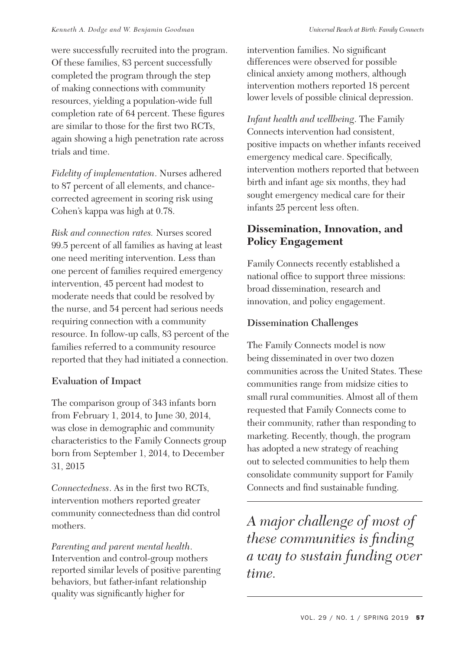were successfully recruited into the program. Of these families, 83 percent successfully completed the program through the step of making connections with community resources, yielding a population-wide full completion rate of 64 percent. These figures are similar to those for the first two RCTs, again showing a high penetration rate across trials and time.

*Fidelity of implementation*. Nurses adhered to 87 percent of all elements, and chancecorrected agreement in scoring risk using Cohen's kappa was high at 0.78.

*Risk and connection rates.* Nurses scored 99.5 percent of all families as having at least one need meriting intervention. Less than one percent of families required emergency intervention, 45 percent had modest to moderate needs that could be resolved by the nurse, and 54 percent had serious needs requiring connection with a community resource. In follow-up calls, 83 percent of the families referred to a community resource reported that they had initiated a connection.

## **Evaluation of Impact**

The comparison group of 343 infants born from February 1, 2014, to June 30, 2014, was close in demographic and community characteristics to the Family Connects group born from September 1, 2014, to December 31, 2015

*Connectedness*. As in the first two RCTs, intervention mothers reported greater community connectedness than did control mothers.

*Parenting and parent mental health*. Intervention and control-group mothers reported similar levels of positive parenting behaviors, but father-infant relationship quality was significantly higher for

intervention families. No significant differences were observed for possible clinical anxiety among mothers, although intervention mothers reported 18 percent lower levels of possible clinical depression.

*Infant health and wellbeing*. The Family Connects intervention had consistent, positive impacts on whether infants received emergency medical care. Specifically, intervention mothers reported that between birth and infant age six months, they had sought emergency medical care for their infants 25 percent less often.

## **Dissemination, Innovation, and Policy Engagement**

Family Connects recently established a national office to support three missions: broad dissemination, research and innovation, and policy engagement.

## **Dissemination Challenges**

The Family Connects model is now being disseminated in over two dozen communities across the United States. These communities range from midsize cities to small rural communities. Almost all of them requested that Family Connects come to their community, rather than responding to marketing. Recently, though, the program has adopted a new strategy of reaching out to selected communities to help them consolidate community support for Family Connects and find sustainable funding.

*A major challenge of most of these communities is finding a way to sustain funding over time.*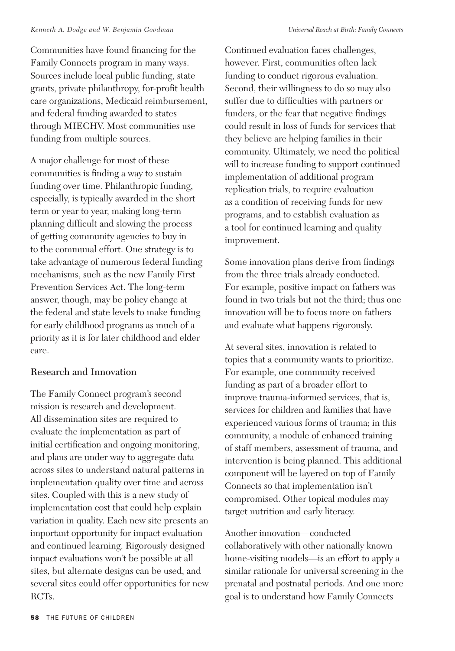Communities have found financing for the Family Connects program in many ways. Sources include local public funding, state grants, private philanthropy, for-profit health care organizations, Medicaid reimbursement, and federal funding awarded to states through MIECHV. Most communities use funding from multiple sources.

A major challenge for most of these communities is finding a way to sustain funding over time. Philanthropic funding, especially, is typically awarded in the short term or year to year, making long-term planning difficult and slowing the process of getting community agencies to buy in to the communal effort. One strategy is to take advantage of numerous federal funding mechanisms, such as the new Family First Prevention Services Act. The long-term answer, though, may be policy change at the federal and state levels to make funding for early childhood programs as much of a priority as it is for later childhood and elder care.

#### **Research and Innovation**

The Family Connect program's second mission is research and development. All dissemination sites are required to evaluate the implementation as part of initial certification and ongoing monitoring, and plans are under way to aggregate data across sites to understand natural patterns in implementation quality over time and across sites. Coupled with this is a new study of implementation cost that could help explain variation in quality. Each new site presents an important opportunity for impact evaluation and continued learning. Rigorously designed impact evaluations won't be possible at all sites, but alternate designs can be used, and several sites could offer opportunities for new RCTs.

Continued evaluation faces challenges, however. First, communities often lack funding to conduct rigorous evaluation. Second, their willingness to do so may also suffer due to difficulties with partners or funders, or the fear that negative findings could result in loss of funds for services that they believe are helping families in their community. Ultimately, we need the political will to increase funding to support continued implementation of additional program replication trials, to require evaluation as a condition of receiving funds for new programs, and to establish evaluation as a tool for continued learning and quality improvement.

Some innovation plans derive from findings from the three trials already conducted. For example, positive impact on fathers was found in two trials but not the third; thus one innovation will be to focus more on fathers and evaluate what happens rigorously.

At several sites, innovation is related to topics that a community wants to prioritize. For example, one community received funding as part of a broader effort to improve trauma-informed services, that is, services for children and families that have experienced various forms of trauma; in this community, a module of enhanced training of staff members, assessment of trauma, and intervention is being planned. This additional component will be layered on top of Family Connects so that implementation isn't compromised. Other topical modules may target nutrition and early literacy.

Another innovation—conducted collaboratively with other nationally known home-visiting models—is an effort to apply a similar rationale for universal screening in the prenatal and postnatal periods. And one more goal is to understand how Family Connects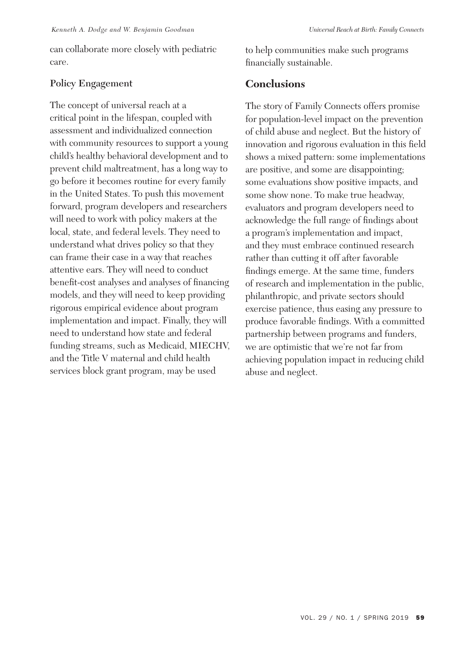can collaborate more closely with pediatric care.

#### **Policy Engagement**

The concept of universal reach at a critical point in the lifespan, coupled with assessment and individualized connection with community resources to support a young child's healthy behavioral development and to prevent child maltreatment, has a long way to go before it becomes routine for every family in the United States. To push this movement forward, program developers and researchers will need to work with policy makers at the local, state, and federal levels. They need to understand what drives policy so that they can frame their case in a way that reaches attentive ears. They will need to conduct benefit-cost analyses and analyses of financing models, and they will need to keep providing rigorous empirical evidence about program implementation and impact. Finally, they will need to understand how state and federal funding streams, such as Medicaid, MIECHV, and the Title V maternal and child health services block grant program, may be used

to help communities make such programs financially sustainable.

#### **Conclusions**

The story of Family Connects offers promise for population-level impact on the prevention of child abuse and neglect. But the history of innovation and rigorous evaluation in this field shows a mixed pattern: some implementations are positive, and some are disappointing; some evaluations show positive impacts, and some show none. To make true headway, evaluators and program developers need to acknowledge the full range of findings about a program's implementation and impact, and they must embrace continued research rather than cutting it off after favorable findings emerge. At the same time, funders of research and implementation in the public, philanthropic, and private sectors should exercise patience, thus easing any pressure to produce favorable findings. With a committed partnership between programs and funders, we are optimistic that we're not far from achieving population impact in reducing child abuse and neglect.